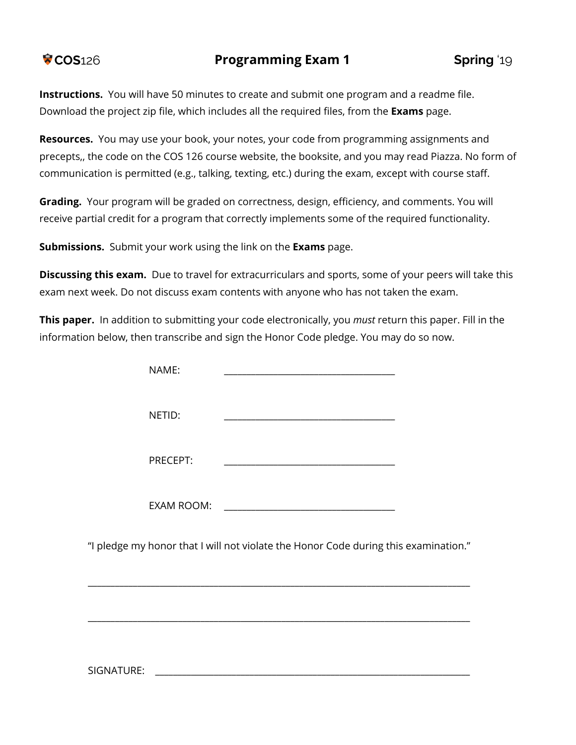**Instructions.** You will have 50 minutes to create and submit one program and a readme file. Download the project zip file, which includes all the required files, from the **Exams** page.

**Resources.** You may use your book, your notes, your code from programming assignments and precepts,, the code on the COS 126 course website, the booksite, and you may read Piazza. No form of communication is permitted (e.g., talking, texting, etc.) during the exam, except with course staff.

**Grading.** Your program will be graded on correctness, design, efficiency, and comments. You will receive partial credit for a program that correctly implements some of the required functionality.

**Submissions.** Submit your work using the link on the **Exams** page.

**Discussing this exam.** Due to travel for extracurriculars and sports, some of your peers will take this exam next week. Do not discuss exam contents with anyone who has not taken the exam.

**This paper.** In addition to submitting your code electronically, you *must* return this paper. Fill in the information below, then transcribe and sign the Honor Code pledge. You may do so now.

|                                                                                     | NAME:    |                                                             |  |  |
|-------------------------------------------------------------------------------------|----------|-------------------------------------------------------------|--|--|
|                                                                                     | NETID:   | <u> 1980 - Johann Stoff, amerikansk politiker (d. 1980)</u> |  |  |
|                                                                                     | PRECEPT: |                                                             |  |  |
|                                                                                     |          |                                                             |  |  |
| "I pledge my honor that I will not violate the Honor Code during this examination." |          |                                                             |  |  |
|                                                                                     |          |                                                             |  |  |
|                                                                                     |          |                                                             |  |  |

SIGNATURE: \_\_\_\_\_\_\_\_\_\_\_\_\_\_\_\_\_\_\_\_\_\_\_\_\_\_\_\_\_\_\_\_\_\_\_\_\_\_\_\_\_\_\_\_\_\_\_\_\_\_\_\_\_\_\_\_\_\_\_\_\_\_\_\_\_\_\_\_\_\_